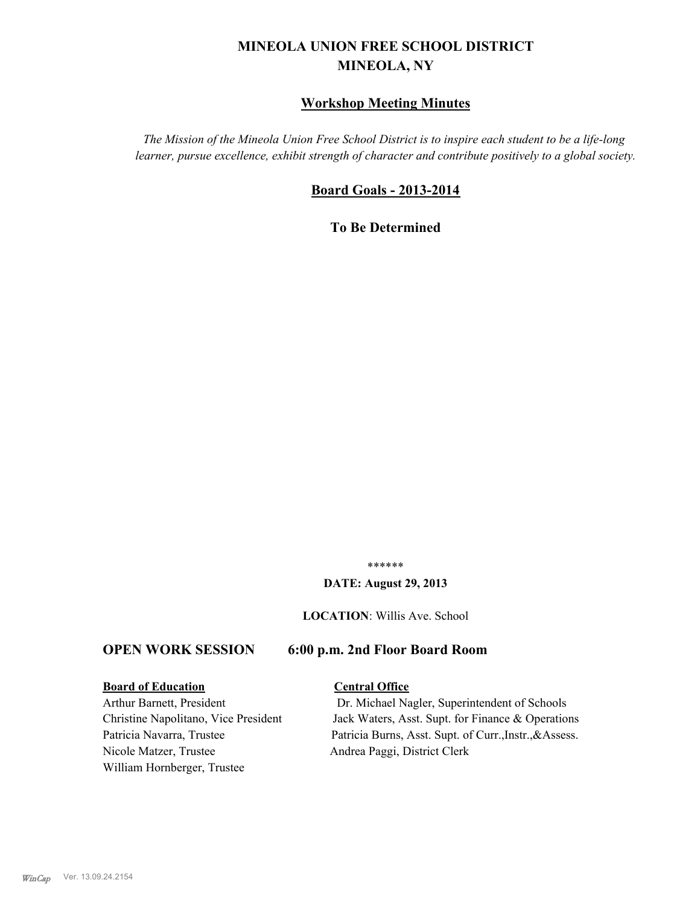# **MINEOLA UNION FREE SCHOOL DISTRICT MINEOLA, NY**

# **Workshop Meeting Minutes**

*The Mission of the Mineola Union Free School District is to inspire each student to be a life-long learner, pursue excellence, exhibit strength of character and contribute positively to a global society.*

# **Board Goals - 2013-2014**

**To Be Determined**

\*\*\*\*\*\*

#### **DATE: August 29, 2013**

**LOCATION**: Willis Ave. School

#### **OPEN WORK SESSION 6:00 p.m. 2nd Floor Board Room**

#### **Board of Education Central Office**

Nicole Matzer, Trustee Andrea Paggi, District Clerk William Hornberger, Trustee

Arthur Barnett, President Dr. Michael Nagler, Superintendent of Schools Christine Napolitano, Vice President Jack Waters, Asst. Supt. for Finance & Operations Patricia Navarra, Trustee Patricia Burns, Asst. Supt. of Curr., Instr., &Assess.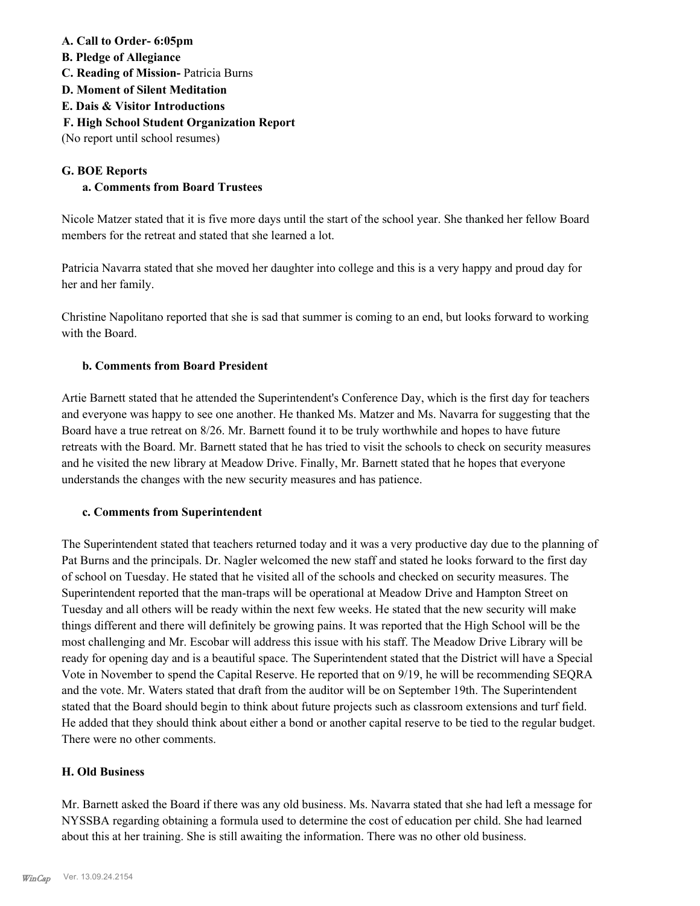## **A. Call to Order- 6:05pm**

- **B. Pledge of Allegiance**
- **C. Reading of Mission-** Patricia Burns
- **D. Moment of Silent Meditation**
- **E. Dais & Visitor Introductions**
- **F. High School Student Organization Report**

(No report until school resumes)

# **G. BOE Reports**

# **a. Comments from Board Trustees**

Nicole Matzer stated that it is five more days until the start of the school year. She thanked her fellow Board members for the retreat and stated that she learned a lot.

Patricia Navarra stated that she moved her daughter into college and this is a very happy and proud day for her and her family.

Christine Napolitano reported that she is sad that summer is coming to an end, but looks forward to working with the Board.

## **b. Comments from Board President**

Artie Barnett stated that he attended the Superintendent's Conference Day, which is the first day for teachers and everyone was happy to see one another. He thanked Ms. Matzer and Ms. Navarra for suggesting that the Board have a true retreat on 8/26. Mr. Barnett found it to be truly worthwhile and hopes to have future retreats with the Board. Mr. Barnett stated that he has tried to visit the schools to check on security measures and he visited the new library at Meadow Drive. Finally, Mr. Barnett stated that he hopes that everyone understands the changes with the new security measures and has patience.

#### **c. Comments from Superintendent**

The Superintendent stated that teachers returned today and it was a very productive day due to the planning of Pat Burns and the principals. Dr. Nagler welcomed the new staff and stated he looks forward to the first day of school on Tuesday. He stated that he visited all of the schools and checked on security measures. The Superintendent reported that the man-traps will be operational at Meadow Drive and Hampton Street on Tuesday and all others will be ready within the next few weeks. He stated that the new security will make things different and there will definitely be growing pains. It was reported that the High School will be the most challenging and Mr. Escobar will address this issue with his staff. The Meadow Drive Library will be ready for opening day and is a beautiful space. The Superintendent stated that the District will have a Special Vote in November to spend the Capital Reserve. He reported that on 9/19, he will be recommending SEQRA and the vote. Mr. Waters stated that draft from the auditor will be on September 19th. The Superintendent stated that the Board should begin to think about future projects such as classroom extensions and turf field. He added that they should think about either a bond or another capital reserve to be tied to the regular budget. There were no other comments.

#### **H. Old Business**

Mr. Barnett asked the Board if there was any old business. Ms. Navarra stated that she had left a message for NYSSBA regarding obtaining a formula used to determine the cost of education per child. She had learned about this at her training. She is still awaiting the information. There was no other old business.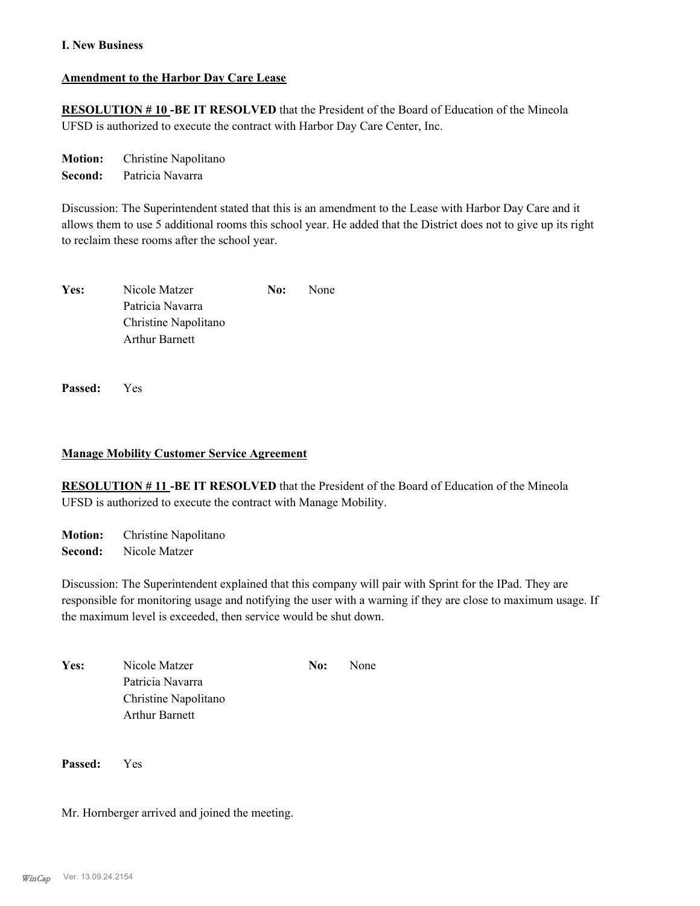#### **I. New Business**

#### **Amendment to the Harbor Day Care Lease**

**RESOLUTION # 10 -BE IT RESOLVED** that the President of the Board of Education of the Mineola UFSD is authorized to execute the contract with Harbor Day Care Center, Inc.

**Motion:** Christine Napolitano **Second:** Patricia Navarra

Discussion: The Superintendent stated that this is an amendment to the Lease with Harbor Day Care and it allows them to use 5 additional rooms this school year. He added that the District does not to give up its right to reclaim these rooms after the school year.

| Yes: | Nicole Matzer         | No: | None |
|------|-----------------------|-----|------|
|      | Patricia Navarra      |     |      |
|      | Christine Napolitano  |     |      |
|      | <b>Arthur Barnett</b> |     |      |
|      |                       |     |      |

**Passed:** Yes

#### **Manage Mobility Customer Service Agreement**

**RESOLUTION # 11 -BE IT RESOLVED** that the President of the Board of Education of the Mineola UFSD is authorized to execute the contract with Manage Mobility.

**Motion:** Christine Napolitano **Second:** Nicole Matzer

Discussion: The Superintendent explained that this company will pair with Sprint for the IPad. They are responsible for monitoring usage and notifying the user with a warning if they are close to maximum usage. If the maximum level is exceeded, then service would be shut down.

| <b>Yes:</b> | Nicole Matzer         | No: | None |
|-------------|-----------------------|-----|------|
|             | Patricia Navarra      |     |      |
|             | Christine Napolitano  |     |      |
|             | <b>Arthur Barnett</b> |     |      |

**Passed:** Yes

Mr. Hornberger arrived and joined the meeting.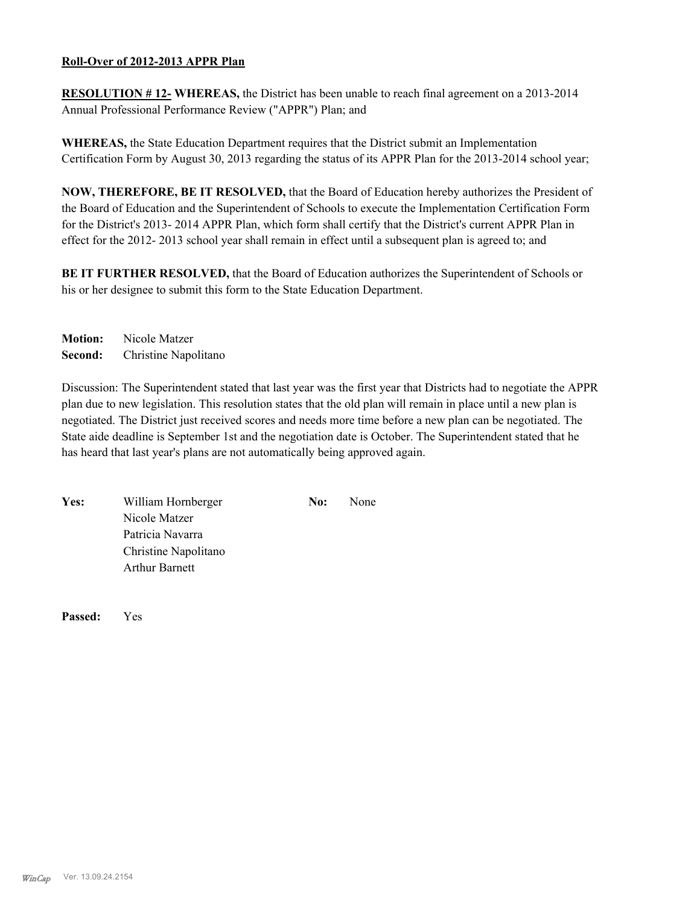#### **Roll-Over of 2012-2013 APPR Plan**

**RESOLUTION # 12- WHEREAS,** the District has been unable to reach final agreement on a 2013-2014 Annual Professional Performance Review ("APPR") Plan; and

**WHEREAS,** the State Education Department requires that the District submit an Implementation Certification Form by August 30, 2013 regarding the status of its APPR Plan for the 2013-2014 school year;

**NOW, THEREFORE, BE IT RESOLVED,** that the Board of Education hereby authorizes the President of the Board of Education and the Superintendent of Schools to execute the Implementation Certification Form for the District's 2013- 2014 APPR Plan, which form shall certify that the District's current APPR Plan in effect for the 2012- 2013 school year shall remain in effect until a subsequent plan is agreed to; and

**BE IT FURTHER RESOLVED,** that the Board of Education authorizes the Superintendent of Schools or his or her designee to submit this form to the State Education Department.

**Motion:** Nicole Matzer **Second:** Christine Napolitano

Discussion: The Superintendent stated that last year was the first year that Districts had to negotiate the APPR plan due to new legislation. This resolution states that the old plan will remain in place until a new plan is negotiated. The District just received scores and needs more time before a new plan can be negotiated. The State aide deadline is September 1st and the negotiation date is October. The Superintendent stated that he has heard that last year's plans are not automatically being approved again.

| Yes: | William Hornberger    | No: | None |
|------|-----------------------|-----|------|
|      | Nicole Matzer         |     |      |
|      | Patricia Navarra      |     |      |
|      | Christine Napolitano  |     |      |
|      | <b>Arthur Barnett</b> |     |      |
|      |                       |     |      |

**Passed:** Yes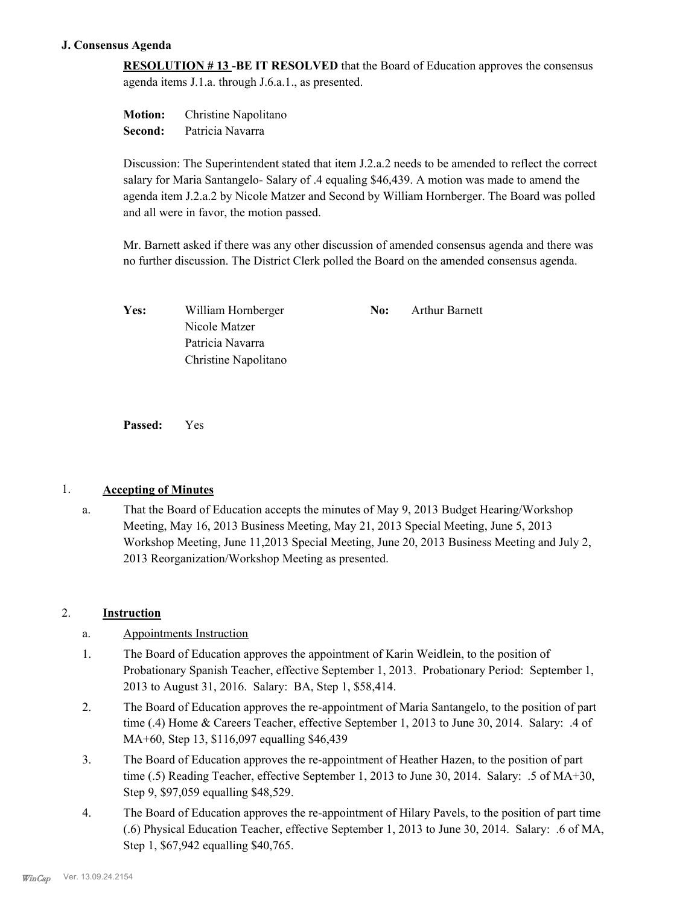#### **J. Consensus Agenda**

**RESOLUTION # 13 -BE IT RESOLVED** that the Board of Education approves the consensus agenda items J.1.a. through J.6.a.1., as presented.

**Motion:** Christine Napolitano **Second:** Patricia Navarra

Discussion: The Superintendent stated that item J.2.a.2 needs to be amended to reflect the correct salary for Maria Santangelo- Salary of .4 equaling \$46,439. A motion was made to amend the agenda item J.2.a.2 by Nicole Matzer and Second by William Hornberger. The Board was polled and all were in favor, the motion passed.

Mr. Barnett asked if there was any other discussion of amended consensus agenda and there was no further discussion. The District Clerk polled the Board on the amended consensus agenda.

| Yes: | William Hornberger   | No: | <b>Arthur Barnett</b> |
|------|----------------------|-----|-----------------------|
|      | Nicole Matzer        |     |                       |
|      | Patricia Navarra     |     |                       |
|      | Christine Napolitano |     |                       |

**Passed:** Yes

#### 1. **Accepting of Minutes**

That the Board of Education accepts the minutes of May 9, 2013 Budget Hearing/Workshop Meeting, May 16, 2013 Business Meeting, May 21, 2013 Special Meeting, June 5, 2013 Workshop Meeting, June 11,2013 Special Meeting, June 20, 2013 Business Meeting and July 2, 2013 Reorganization/Workshop Meeting as presented. a.

#### 2. **Instruction**

- a. Appointments Instruction
- The Board of Education approves the appointment of Karin Weidlein, to the position of Probationary Spanish Teacher, effective September 1, 2013. Probationary Period: September 1, 2013 to August 31, 2016. Salary: BA, Step 1, \$58,414. 1.
- The Board of Education approves the re-appointment of Maria Santangelo, to the position of part time (.4) Home & Careers Teacher, effective September 1, 2013 to June 30, 2014. Salary: .4 of MA+60, Step 13, \$116,097 equalling \$46,439 2.
- The Board of Education approves the re-appointment of Heather Hazen, to the position of part time (.5) Reading Teacher, effective September 1, 2013 to June 30, 2014. Salary: .5 of MA+30, Step 9, \$97,059 equalling \$48,529. 3.
- The Board of Education approves the re-appointment of Hilary Pavels, to the position of part time (.6) Physical Education Teacher, effective September 1, 2013 to June 30, 2014. Salary: .6 of MA, Step 1, \$67,942 equalling \$40,765. 4.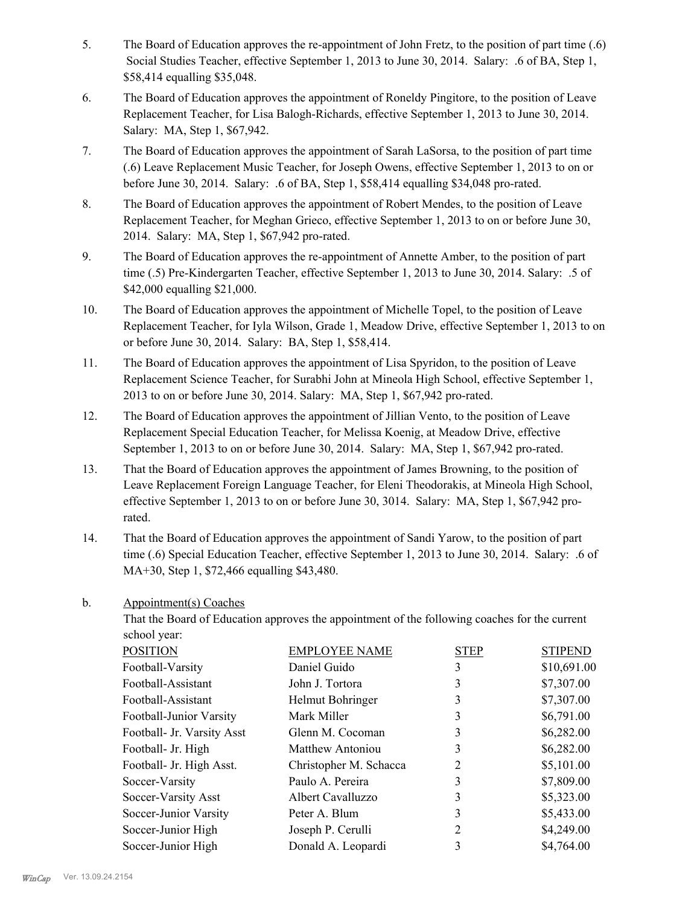- The Board of Education approves the re-appointment of John Fretz, to the position of part time (.6) Social Studies Teacher, effective September 1, 2013 to June 30, 2014. Salary: .6 of BA, Step 1, \$58,414 equalling \$35,048. 5.
- The Board of Education approves the appointment of Roneldy Pingitore, to the position of Leave Replacement Teacher, for Lisa Balogh-Richards, effective September 1, 2013 to June 30, 2014. Salary: MA, Step 1, \$67,942. 6.
- The Board of Education approves the appointment of Sarah LaSorsa, to the position of part time (.6) Leave Replacement Music Teacher, for Joseph Owens, effective September 1, 2013 to on or before June 30, 2014. Salary: .6 of BA, Step 1, \$58,414 equalling \$34,048 pro-rated. 7.
- The Board of Education approves the appointment of Robert Mendes, to the position of Leave Replacement Teacher, for Meghan Grieco, effective September 1, 2013 to on or before June 30, 2014. Salary: MA, Step 1, \$67,942 pro-rated. 8.
- The Board of Education approves the re-appointment of Annette Amber, to the position of part time (.5) Pre-Kindergarten Teacher, effective September 1, 2013 to June 30, 2014. Salary: .5 of \$42,000 equalling \$21,000. 9.
- The Board of Education approves the appointment of Michelle Topel, to the position of Leave Replacement Teacher, for Iyla Wilson, Grade 1, Meadow Drive, effective September 1, 2013 to on or before June 30, 2014. Salary: BA, Step 1, \$58,414. 10.
- The Board of Education approves the appointment of Lisa Spyridon, to the position of Leave Replacement Science Teacher, for Surabhi John at Mineola High School, effective September 1, 2013 to on or before June 30, 2014. Salary: MA, Step 1, \$67,942 pro-rated. 11.
- The Board of Education approves the appointment of Jillian Vento, to the position of Leave Replacement Special Education Teacher, for Melissa Koenig, at Meadow Drive, effective September 1, 2013 to on or before June 30, 2014. Salary: MA, Step 1, \$67,942 pro-rated. 12.
- That the Board of Education approves the appointment of James Browning, to the position of Leave Replacement Foreign Language Teacher, for Eleni Theodorakis, at Mineola High School, effective September 1, 2013 to on or before June 30, 3014. Salary: MA, Step 1, \$67,942 prorated. 13.
- That the Board of Education approves the appointment of Sandi Yarow, to the position of part time (.6) Special Education Teacher, effective September 1, 2013 to June 30, 2014. Salary: .6 of MA+30, Step 1, \$72,466 equalling \$43,480. 14.
- Appointment(s) Coaches b.

That the Board of Education approves the appointment of the following coaches for the current school year:

| <b>POSITION</b>            | <b>EMPLOYEE NAME</b>    | <b>STEP</b> | <b>STIPEND</b> |
|----------------------------|-------------------------|-------------|----------------|
| Football-Varsity           | Daniel Guido            | 3           | \$10,691.00    |
| Football-Assistant         | John J. Tortora         | 3           | \$7,307.00     |
| Football-Assistant         | Helmut Bohringer        | 3           | \$7,307.00     |
| Football-Junior Varsity    | Mark Miller             | 3           | \$6,791.00     |
| Football- Jr. Varsity Asst | Glenn M. Cocoman        | 3           | \$6,282.00     |
| Football- Jr. High         | <b>Matthew Antoniou</b> | 3           | \$6,282.00     |
| Football- Jr. High Asst.   | Christopher M. Schacca  | 2           | \$5,101.00     |
| Soccer-Varsity             | Paulo A. Pereira        | 3           | \$7,809.00     |
| Soccer-Varsity Asst        | Albert Cavalluzzo       | 3           | \$5,323.00     |
| Soccer-Junior Varsity      | Peter A. Blum           | 3           | \$5,433.00     |
| Soccer-Junior High         | Joseph P. Cerulli       | 2           | \$4,249.00     |
| Soccer-Junior High         | Donald A. Leopardi      | 3           | \$4,764.00     |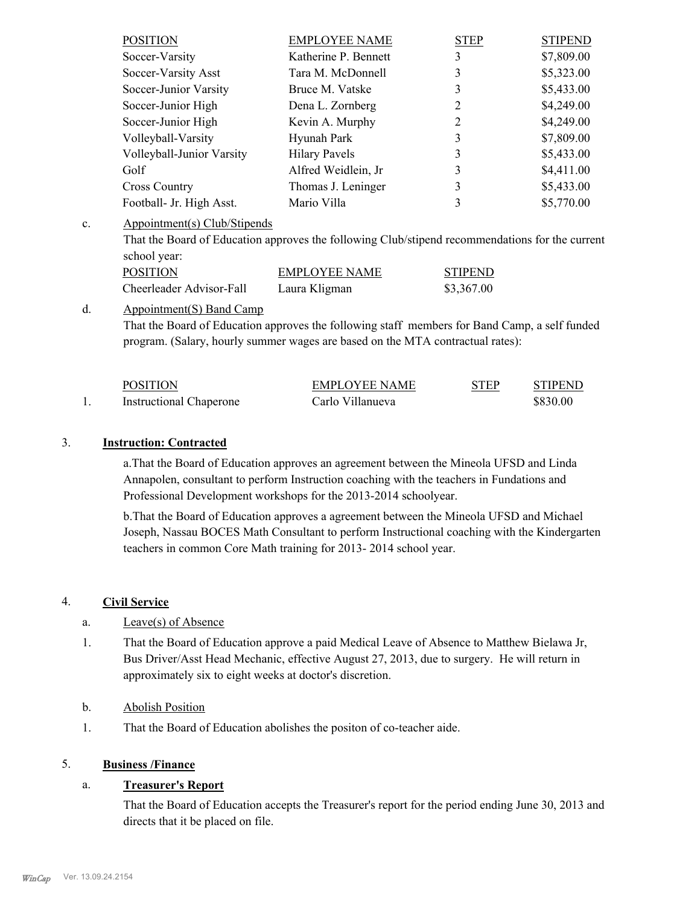| <b>POSITION</b>           | <b>EMPLOYEE NAME</b> | <b>STEP</b> | <b>STIPEND</b> |
|---------------------------|----------------------|-------------|----------------|
| Soccer-Varsity            | Katherine P. Bennett | 3           | \$7,809.00     |
| Soccer-Varsity Asst       | Tara M. McDonnell    | 3           | \$5,323.00     |
| Soccer-Junior Varsity     | Bruce M. Vatske      | 3           | \$5,433.00     |
| Soccer-Junior High        | Dena L. Zornberg     | 2           | \$4,249.00     |
| Soccer-Junior High        | Kevin A. Murphy      | 2           | \$4,249.00     |
| Volleyball-Varsity        | Hyunah Park          |             | \$7,809.00     |
| Volleyball-Junior Varsity | <b>Hilary Pavels</b> | 3           | \$5,433.00     |
| Golf                      | Alfred Weidlein, Jr  | 3           | \$4,411.00     |
| <b>Cross Country</b>      | Thomas J. Leninger   | 3           | \$5,433.00     |
| Football- Jr. High Asst.  | Mario Villa          |             | \$5,770.00     |

#### Appointment(s) Club/Stipends c.

That the Board of Education approves the following Club/stipend recommendations for the current school year:

| <b>POSITION</b>          | EMPLOYEE NAME | <b>STIPEND</b> |
|--------------------------|---------------|----------------|
| Cheerleader Advisor-Fall | Laura Kligman | \$3,367.00     |

#### Appointment(S) Band Camp d.

That the Board of Education approves the following staff members for Band Camp, a self funded program. (Salary, hourly summer wages are based on the MTA contractual rates):

| <b>POSITION</b>                | <b>EMPLOYEE NAME</b> | STEP | <b>STIPEND</b> |
|--------------------------------|----------------------|------|----------------|
| <b>Instructional Chaperone</b> | Carlo Villanueva     |      | \$830.00       |

#### 3. **Instruction: Contracted**

a.That the Board of Education approves an agreement between the Mineola UFSD and Linda Annapolen, consultant to perform Instruction coaching with the teachers in Fundations and Professional Development workshops for the 2013-2014 schoolyear.

b.That the Board of Education approves a agreement between the Mineola UFSD and Michael Joseph, Nassau BOCES Math Consultant to perform Instructional coaching with the Kindergarten teachers in common Core Math training for 2013- 2014 school year.

#### 4. **Civil Service**

- a. Leave(s) of Absence
- That the Board of Education approve a paid Medical Leave of Absence to Matthew Bielawa Jr, Bus Driver/Asst Head Mechanic, effective August 27, 2013, due to surgery. He will return in approximately six to eight weeks at doctor's discretion. 1.
- b. Abolish Position
- 1. That the Board of Education abolishes the positon of co-teacher aide.

#### 5. **Business /Finance**

#### a. **Treasurer's Report**

That the Board of Education accepts the Treasurer's report for the period ending June 30, 2013 and directs that it be placed on file.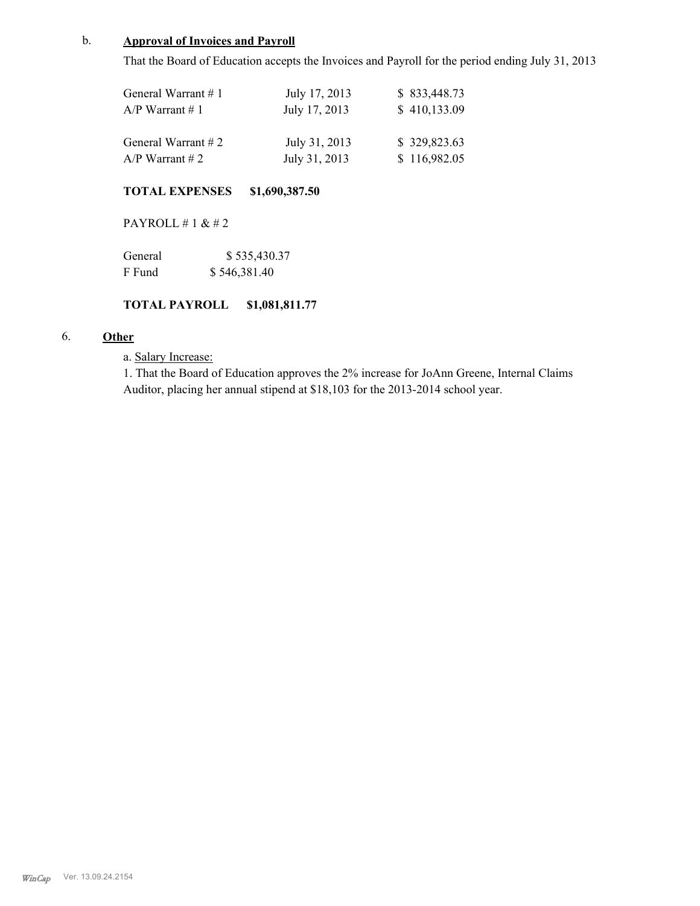#### b. **Approval of Invoices and Payroll**

That the Board of Education accepts the Invoices and Payroll for the period ending July 31, 2013

| General Warrant $# 1$ | July 17, 2013 | \$833,448.73 |
|-----------------------|---------------|--------------|
| $A/P$ Warrant # 1     | July 17, 2013 | \$410,133.09 |
| General Warrant $# 2$ | July 31, 2013 | \$329,823.63 |
| $A/P$ Warrant # 2     | July 31, 2013 | \$116,982.05 |

#### **TOTAL EXPENSES \$1,690,387.50**

PAYROLL # 1 & # 2

| General | \$535,430.37 |
|---------|--------------|
| F Fund  | \$546,381.40 |

#### **TOTAL PAYROLL \$1,081,811.77**

# 6. **Other**

#### a. Salary Increase:

1. That the Board of Education approves the 2% increase for JoAnn Greene, Internal Claims Auditor, placing her annual stipend at \$18,103 for the 2013-2014 school year.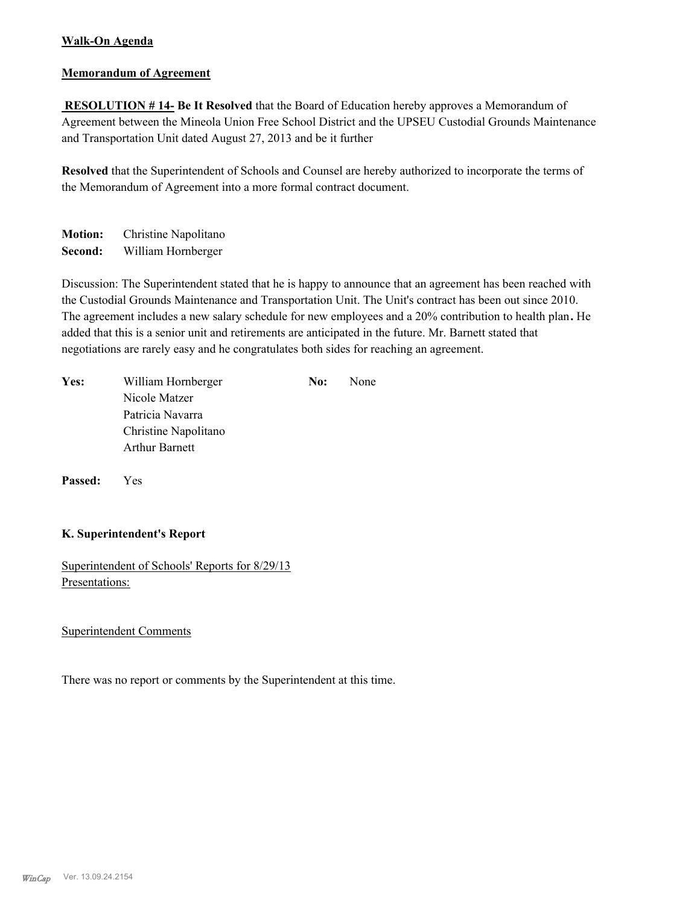## **Walk-On Agenda**

#### **Memorandum of Agreement**

 **RESOLUTION # 14- Be It Resolved** that the Board of Education hereby approves a Memorandum of Agreement between the Mineola Union Free School District and the UPSEU Custodial Grounds Maintenance and Transportation Unit dated August 27, 2013 and be it further

**Resolved** that the Superintendent of Schools and Counsel are hereby authorized to incorporate the terms of the Memorandum of Agreement into a more formal contract document.

**Motion:** Christine Napolitano **Second:** William Hornberger

Discussion: The Superintendent stated that he is happy to announce that an agreement has been reached with the Custodial Grounds Maintenance and Transportation Unit. The Unit's contract has been out since 2010. The agreement includes a new salary schedule for new employees and a 20% contribution to health plan**.** He added that this is a senior unit and retirements are anticipated in the future. Mr. Barnett stated that negotiations are rarely easy and he congratulates both sides for reaching an agreement.

| Yes: | William Hornberger    | No: | None |
|------|-----------------------|-----|------|
|      | Nicole Matzer         |     |      |
|      | Patricia Navarra      |     |      |
|      | Christine Napolitano  |     |      |
|      | <b>Arthur Barnett</b> |     |      |
|      |                       |     |      |

**Passed:** Yes

#### **K. Superintendent's Report**

Superintendent of Schools' Reports for 8/29/13 Presentations:

#### Superintendent Comments

There was no report or comments by the Superintendent at this time.